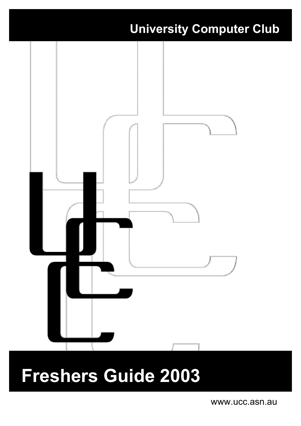

# **Freshers Guide 2003**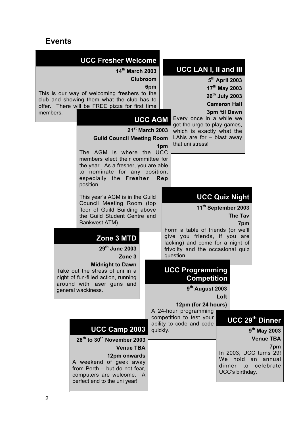### **Events**

| members. | <b>UCC Fresher Welcome</b><br>14th March 2003<br>This is our way of welcoming freshers to the<br>club and showing them what the club has to<br>offer. There will be FREE pizza for first time                                                                                                                                                                             | Clubroom<br>6pm                               |     | <b>UCC LAN I, II and III</b>                                                                                                                                                                                                                 | 5 <sup>th</sup> April 2003<br>17 <sup>th</sup> May 2003<br>26 <sup>th</sup> July 2003<br><b>Cameron Hall</b><br>3pm 'til Dawn |                                                                                                                                                     |
|----------|---------------------------------------------------------------------------------------------------------------------------------------------------------------------------------------------------------------------------------------------------------------------------------------------------------------------------------------------------------------------------|-----------------------------------------------|-----|----------------------------------------------------------------------------------------------------------------------------------------------------------------------------------------------------------------------------------------------|-------------------------------------------------------------------------------------------------------------------------------|-----------------------------------------------------------------------------------------------------------------------------------------------------|
|          | <b>Guild Council Meeting Room</b><br>The AGM is where the UCC<br>members elect their committee for<br>the year. As a fresher, you are able<br>to nominate for any position,<br>especially the Fresher<br>position.                                                                                                                                                        | <b>UCC AGM</b><br>$21^{st}$ March 2003<br>Rep | 1pm | Every once in a while we<br>get the urge to play games,<br>which is exactly what the<br>LANs are for $-$ blast away<br>that uni stress!                                                                                                      |                                                                                                                               |                                                                                                                                                     |
|          | This year's AGM is in the Guild<br>Council Meeting Room (top<br>floor of Guild Building above<br>the Guild Student Centre and<br>Bankwest ATM).<br>Zone 3 MTD<br>29 <sup>th</sup> June 2003<br>Zone <sub>3</sub><br><b>Midnight to Dawn</b><br>Take out the stress of uni in a<br>night of fun-filled action, running<br>around with laser guns and<br>general wackiness. |                                               |     | Form a table of friends (or we'll<br>give you friends, if you are<br>lacking) and come for a night of<br>frivolity and the occasional quiz<br>question.<br><b>UCC Programming</b><br>Competition<br>$9th$ August 2003<br>12pm (for 24 hours) | <b>UCC Quiz Night</b><br>11 <sup>th</sup> September 2003<br><b>The Tav</b><br>7pm<br>Loft                                     |                                                                                                                                                     |
|          | UCC Camp 2003<br>28 <sup>th</sup> to 30 <sup>th</sup> November 2003<br><b>Venue TBA</b><br>12pm onwards<br>A weekend of geek away<br>from Perth - but do not fear,<br>computers are welcome. A<br>perfect end to the uni year!                                                                                                                                            | quickly.                                      |     | A 24-hour programming<br>competition to test your<br>ability to code and code                                                                                                                                                                | UCC's birthday.                                                                                                               | <b>UCC 29th Dinner</b><br>9 <sup>th</sup> May 2003<br><b>Venue TBA</b><br>7pm<br>In 2003, UCC turns 29!<br>We hold an annual<br>dinner to celebrate |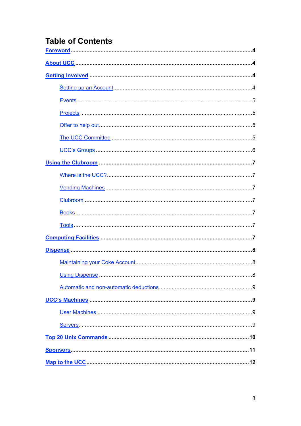# **Table of Contents**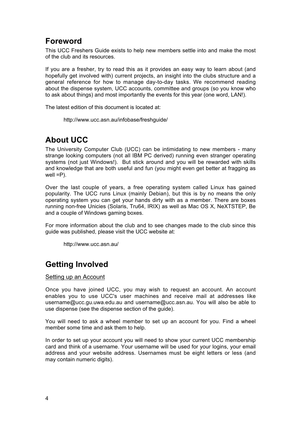### **Foreword**

This UCC Freshers Guide exists to help new members settle into and make the most of the club and its resources.

If you are a fresher, try to read this as it provides an easy way to learn about (and hopefully get involved with) current projects, an insight into the clubs structure and a general reference for how to manage day-to-day tasks. We recommend reading about the dispense system, UCC accounts, committee and groups (so you know who to ask about things) and most importantly the events for this year (one word, LAN!).

The latest edition of this document is located at:

http://www.ucc.asn.au/infobase/freshguide/

# **About UCC**

The University Computer Club (UCC) can be intimidating to new members - many strange looking computers (not all IBM PC derived) running even stranger operating systems (not just Windows!). But stick around and you will be rewarded with skills and knowledge that are both useful and fun (you might even get better at fragging as well  $=$ P $)$ .

Over the last couple of years, a free operating system called Linux has gained popularity. The UCC runs Linux (mainly Debian), but this is by no means the only operating system you can get your hands dirty with as a member. There are boxes running non-free Unicies (Solaris, Tru64, IRIX) as well as Mac OS X, NeXTSTEP, Be and a couple of Windows gaming boxes.

For more information about the club and to see changes made to the club since this guide was published, please visit the UCC website at:

http://www.ucc.asn.au/

# **Getting Involved**

#### Setting up an Account

Once you have joined UCC, you may wish to request an account. An account enables you to use UCC's user machines and receive mail at addresses like username@ucc.gu.uwa.edu.au and username@ucc.asn.au. You will also be able to use dispense (see the dispense section of the guide).

You will need to ask a wheel member to set up an account for you. Find a wheel member some time and ask them to help.

In order to set up your account you will need to show your current UCC membership card and think of a username. Your username will be used for your logins, your email address and your website address. Usernames must be eight letters or less (and may contain numeric digits).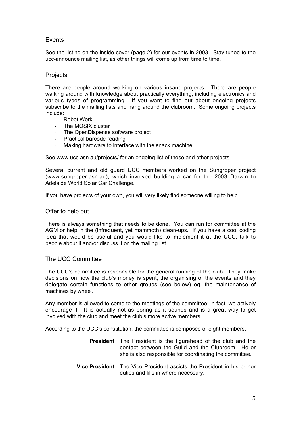#### Events

See the listing on the inside cover (page 2) for our events in 2003. Stay tuned to the ucc-announce mailing list, as other things will come up from time to time.

#### **Projects**

There are people around working on various insane projects. There are people walking around with knowledge about practically everything, including electronics and various types of programming. If you want to find out about ongoing projects subscribe to the mailing lists and hang around the clubroom. Some ongoing projects include:

- Robot Work
- The MOSIX cluster
- The OpenDispense software project
- Practical barcode reading
- Making hardware to interface with the snack machine

See www.ucc.asn.au/projects/ for an ongoing list of these and other projects.

Several current and old guard UCC members worked on the Sungroper project (www.sungroper.asn.au), which involved building a car for the 2003 Darwin to Adelaide World Solar Car Challenge.

If you have projects of your own, you will very likely find someone willing to help.

#### Offer to help out

There is always something that needs to be done. You can run for committee at the AGM or help in the (infrequent, yet mammoth) clean-ups. If you have a cool coding idea that would be useful and you would like to implement it at the UCC, talk to people about it and/or discuss it on the mailing list.

#### The UCC Committee

The UCC's committee is responsible for the general running of the club. They make decisions on how the club's money is spent, the organising of the events and they delegate certain functions to other groups (see below) eg, the maintenance of machines by wheel.

Any member is allowed to come to the meetings of the committee; in fact, we actively encourage it. It is actually not as boring as it sounds and is a great way to get involved with the club and meet the club's more active members.

According to the UCC's constitution, the committee is composed of eight members:

- **President** The President is the figurehead of the club and the contact between the Guild and the Clubroom. He or she is also responsible for coordinating the committee.
- **Vice President** The Vice President assists the President in his or her duties and fills in where necessary.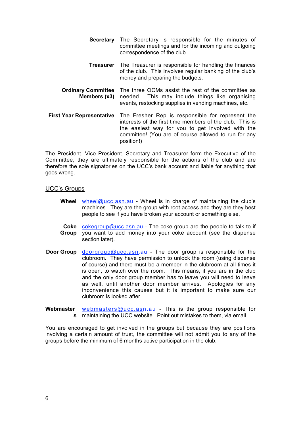- **Secretary** The Secretary is responsible for the minutes of committee meetings and for the incoming and outgoing correspondence of the club.
- **Treasurer** The Treasurer is responsible for handling the finances of the club. This involves regular banking of the club's money and preparing the budgets.
- **Ordinary Committee Members (x3)** The three OCMs assist the rest of the committee as needed. This may include things like organising events, restocking supplies in vending machines, etc.
- **First Year Representative** The Fresher Rep is responsible for represent the interests of the first time members of the club. This is the easiest way for you to get involved with the committee! (You are of course allowed to run for any position!)

The President, Vice President, Secretary and Treasurer form the Executive of the Committee, they are ultimately responsible for the actions of the club and are therefore the sole signatories on the UCC's bank account and liable for anything that goes wrong.

#### UCC's Groups

- **Wheel** wheel@ucc.asn.au Wheel is in charge of maintaining the club's machines. They are the group with root access and they are they best people to see if you have broken your account or something else.
- Coke cokegroup@ucc.asn.au The coke group are the people to talk to if **Group** you want to add money into your coke account (see the dispense section later).
- **Door Group** doorgroup@ucc.asn.au The door group is responsible for the clubroom. They have permission to unlock the room (using dispense of course) and there must be a member in the clubroom at all times it is open, to watch over the room. This means, if you are in the club and the only door group member has to leave you will need to leave as well, until another door member arrives. Apologies for any inconvenience this causes but it is important to make sure our clubroom is looked after.
- **Webmaster s** maintaining the UCC website. Point out mistakes to them, via email. webmasters@ucc.asn.au - This is the group responsible for

You are encouraged to get involved in the groups but because they are positions involving a certain amount of trust, the committee will not admit you to any of the groups before the minimum of 6 months active participation in the club.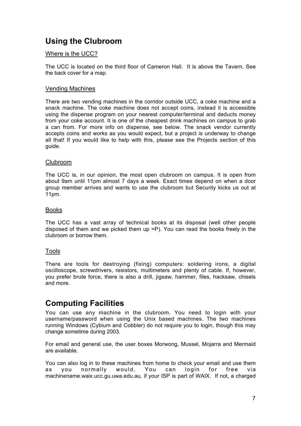# **Using the Clubroom**

#### Where is the UCC?

The UCC is located on the third floor of Cameron Hall. It is above the Tavern. See the back cover for a map.

#### Vending Machines

There are two vending machines in the corridor outside UCC, a coke machine and a snack machine. The coke machine does not accept coins, instead it is accessible using the dispense program on your nearest computer/terminal and deducts money from your coke account. It is one of the cheapest drink machines on campus to grab a can from. For more info on dispense, see below. The snack vendor currently accepts coins and works as you would expect, but a project is underway to change all that! If you would like to help with this, please see the Projects section of this guide.

#### Clubroom

The UCC is, in our opinion, the most open clubroom on campus. It is open from about 9am until 11pm almost 7 days a week. Exact times depend on when a door group member arrives and wants to use the clubroom but Security kicks us out at 11pm.

#### Books

The UCC has a vast array of technical books at its disposal (well other people disposed of them and we picked them up =P). You can read the books freely in the clubroom or borrow them.

#### Tools

There are tools for destroying (fixing) computers: soldering irons, a digital oscilloscope, screwdrivers, resistors, multimeters and plenty of cable. If, however, you prefer brute force, there is also a drill, jigsaw, hammer, files, hacksaw, chisels and more.

### **Computing Facilities**

You can use any machine in the clubroom. You need to login with your username/password when using the Unix based machines. The two machines running Windows (Cybium and Cobbler) do not require you to login, though this may change sometime during 2003.

For email and general use, the user boxes Morwong, Mussel, Mojarra and Mermaid are available.

You can also log in to these machines from home to check your email and use them as you normally would. You can login for free via machinename.waix.ucc.gu.uwa.edu.au, if your ISP is part of WAIX. If not, a charged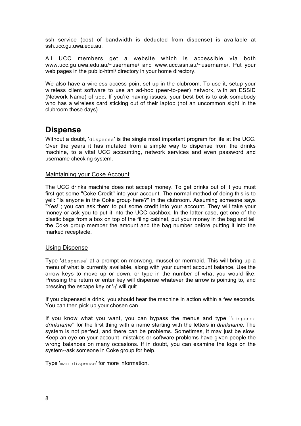ssh service (cost of bandwidth is deducted from dispense) is available at ssh.ucc.gu.uwa.edu.au.

All UCC members get a website which is accessible via both www.ucc.gu.uwa.edu.au/~username/ and www.ucc.asn.au/~username/. Put your web pages in the public-html/ directory in your home directory.

We also have a wireless access point set up in the clubroom. To use it, setup your wireless client software to use an ad-hoc (peer-to-peer) network, with an ESSID (Network Name) of ucc. If you're having issues, your best bet is to ask somebody who has a wireless card sticking out of their laptop (not an uncommon sight in the clubroom these days).

### **Dispense**

Without a doubt, 'dispense' is the single most important program for life at the UCC. Over the years it has mutated from a simple way to dispense from the drinks machine, to a vital UCC accounting, network services and even password and username checking system.

#### Maintaining your Coke Account

The UCC drinks machine does not accept money. To get drinks out of it you must first get some ''Coke Credit'' into your account. The normal method of doing this is to yell: ''Is anyone in the Coke group here?'' in the clubroom. Assuming someone says "Yes!"; you can ask them to put some credit into your account. They will take your money or ask you to put it into the UCC cashbox. In the latter case, get one of the plastic bags from a box on top of the filing cabinet, put your money in the bag and tell the Coke group member the amount and the bag number before putting it into the marked receptacle.

#### Using Dispense

Type 'dispense' at a prompt on morwong, mussel or mermaid. This will bring up a menu of what is currently available, along with your current account balance. Use the arrow keys to move up or down, or type in the number of what you would like. Pressing the return or enter key will dispense whatever the arrow is pointing to, and pressing the escape key or 'q' will quit.

If you dispensed a drink, you should hear the machine in action within a few seconds. You can then pick up your chosen can.

If you know what you want, you can bypass the menus and type ''dispense *drinkname*'' for the first thing with a name starting with the letters in *drinkname*. The system is not perfect, and there can be problems. Sometimes, it may just be slow. Keep an eye on your account--mistakes or software problems have given people the wrong balances on many occasions. If in doubt, you can examine the logs on the system--ask someone in Coke group for help.

Type 'man dispense' for more information.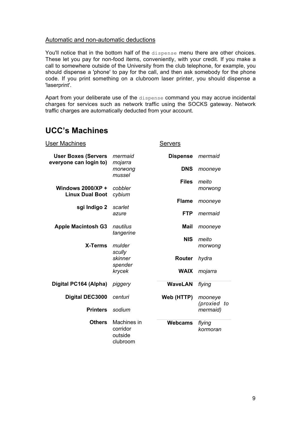#### Automatic and non-automatic deductions

You'll notice that in the bottom half of the dispense menu there are other choices. These let you pay for non-food items, conveniently, with your credit. If you make a call to somewhere outside of the University from the club telephone, for example, you should dispense a 'phone' to pay for the call, and then ask somebody for the phone code. If you print something on a clubroom laser printer, you should dispense a 'laserprint'.

Apart from your deliberate use of the dispense command you may accrue incidental charges for services such as network traffic using the SOCKS gateway. Network traffic charges are automatically deducted from your account.

# **UCC's Machines**

| User Machines                                        |                                                | <b>Servers</b>  |                           |
|------------------------------------------------------|------------------------------------------------|-----------------|---------------------------|
| <b>User Boxes (Servers</b><br>everyone can login to) | mermaid<br>mojarra                             | <b>Dispense</b> | mermaid                   |
|                                                      | morwong<br>mussel                              | <b>DNS</b>      | mooneye                   |
| <b>Windows 2000/XP +</b>                             | cobbler                                        | <b>Files</b>    | meito<br>morwong          |
| <b>Linux Dual Boot</b>                               | cybium                                         | <b>Flame</b>    | mooneye                   |
| sgi Indigo 2                                         | scarlet<br>azure                               | <b>FTP</b>      | mermaid                   |
| <b>Apple Macintosh G3</b>                            | nautilus                                       | <b>Mail</b>     | mooneye                   |
|                                                      | tangerine                                      | <b>NIS</b>      | meito                     |
| <b>X-Terms</b>                                       | mulder<br>scully                               |                 | morwong                   |
|                                                      | skinner<br>spender<br>krycek                   | Router          | hydra                     |
|                                                      |                                                | <b>WAIX</b>     | mojarra                   |
| Digital PC164 (Alpha)                                | piggery                                        | <b>WaveLAN</b>  | flying                    |
| <b>Digital DEC3000</b>                               | centuri                                        | Web (HTTP)      | mooneye<br>(proxied<br>to |
| <b>Printers</b>                                      | sodium                                         |                 | mermaid)                  |
| <b>Others</b>                                        | Machines in<br>corridor<br>outside<br>clubroom | <b>Webcams</b>  | flying<br>kormoran        |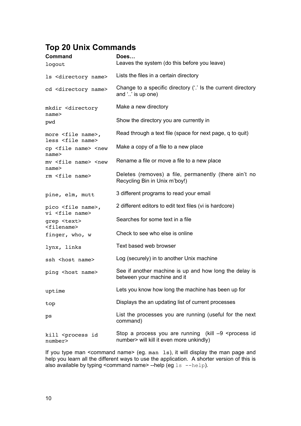# **Top 20 Unix Commands**

| <b>Command</b><br>logout                                                                                              | Does<br>Leaves the system (do this before you leave)                                                              |  |
|-----------------------------------------------------------------------------------------------------------------------|-------------------------------------------------------------------------------------------------------------------|--|
| 1s <directory name=""></directory>                                                                                    | Lists the files in a certain directory                                                                            |  |
| cd <directory name=""></directory>                                                                                    | Change to a specific directory ('.' Is the current directory<br>and '' is up one)                                 |  |
| mkdir <directory<br>name&gt;</directory<br>                                                                           | Make a new directory                                                                                              |  |
| pwd                                                                                                                   | Show the directory you are currently in                                                                           |  |
| more <file name="">,<br/>less <file name=""></file></file>                                                            | Read through a text file (space for next page, q to quit)                                                         |  |
| cp <file name=""> <new< td=""><td>Make a copy of a file to a new place</td></new<></file>                             | Make a copy of a file to a new place                                                                              |  |
| name<<br>mv <file name=""> <new< td=""><td colspan="2">Rename a file or move a file to a new place</td></new<></file> | Rename a file or move a file to a new place                                                                       |  |
| name <sub>2</sub><br>rm <file name=""></file>                                                                         | Deletes (removes) a file, permanently (there ain't no<br>Recycling Bin in Unix m'boy!)                            |  |
| pine, elm, mutt                                                                                                       | 3 different programs to read your email                                                                           |  |
| pico <file name="">,<br/>vi <file name=""></file></file>                                                              | 2 different editors to edit text files (vi is hardcore)                                                           |  |
| grep <text><br/><filename></filename></text>                                                                          | Searches for some text in a file                                                                                  |  |
| finger, who, w                                                                                                        | Check to see who else is online                                                                                   |  |
| lynx, links                                                                                                           | Text based web browser                                                                                            |  |
| ssh <host name=""></host>                                                                                             | Log (securely) in to another Unix machine                                                                         |  |
| ping <host name=""></host>                                                                                            | See if another machine is up and how long the delay is<br>between your machine and it                             |  |
| uptime                                                                                                                | Lets you know how long the machine has been up for                                                                |  |
| top                                                                                                                   | Displays the an updating list of current processes                                                                |  |
| ps                                                                                                                    | List the processes you are running (useful for the next<br>command)                                               |  |
| kill <process id<br="">number&gt;</process>                                                                           | Stop a process you are running (kill $-9$ <process id<br="">number&gt; will kill it even more unkindly)</process> |  |

If you type man <command name> (eg. man ls), it will display the man page and help you learn all the different ways to use the application. A shorter version of this is also available by typing <command name> --help (eg  $ls$  --help).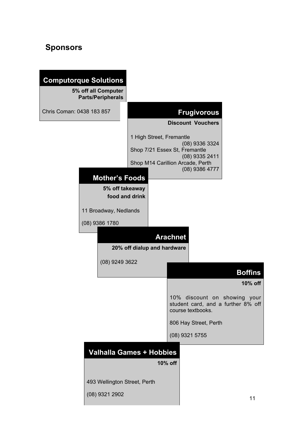# **Sponsors**

|                           | <b>Computorque Solutions</b>                    |                                  |                 |                                                                                         |                |
|---------------------------|-------------------------------------------------|----------------------------------|-----------------|-----------------------------------------------------------------------------------------|----------------|
|                           | 5% off all Computer<br><b>Parts/Peripherals</b> |                                  |                 |                                                                                         |                |
| Chris Coman: 0438 183 857 |                                                 |                                  |                 | <b>Frugivorous</b>                                                                      |                |
|                           |                                                 |                                  |                 | <b>Discount Vouchers</b>                                                                |                |
|                           |                                                 | 1 High Street, Fremantle         |                 | (08) 9336 3324                                                                          |                |
|                           |                                                 | Shop 7/21 Essex St, Fremantle    |                 | (08) 9335 2411                                                                          |                |
|                           |                                                 | Shop M14 Carillion Arcade, Perth |                 | (08) 9386 4777                                                                          |                |
|                           | <b>Mother's Foods</b>                           |                                  |                 |                                                                                         |                |
|                           | 5% off takeaway<br>food and drink               |                                  |                 |                                                                                         |                |
|                           | 11 Broadway, Nedlands                           |                                  |                 |                                                                                         |                |
|                           | (08) 9386 1780                                  |                                  |                 |                                                                                         |                |
|                           |                                                 |                                  | <b>Arachnet</b> |                                                                                         |                |
|                           |                                                 | 20% off dialup and hardware      |                 |                                                                                         |                |
|                           | $(08)$ 9249 3622                                |                                  |                 |                                                                                         |                |
|                           |                                                 |                                  |                 |                                                                                         | <b>Boffins</b> |
|                           |                                                 |                                  |                 |                                                                                         | 10% off        |
|                           |                                                 |                                  |                 | 10% discount on showing your<br>student card, and a further 8% off<br>course textbooks. |                |
|                           |                                                 |                                  |                 | 806 Hay Street, Perth                                                                   |                |
|                           |                                                 |                                  |                 | $(08)$ 9321 5755                                                                        |                |
|                           | <b>Valhalla Games + Hobbies</b>                 |                                  |                 |                                                                                         |                |
|                           |                                                 |                                  | 10% off         |                                                                                         |                |
|                           | 493 Wellington Street, Perth                    |                                  |                 |                                                                                         |                |
|                           | (08) 9321 2902                                  |                                  |                 |                                                                                         | 11             |